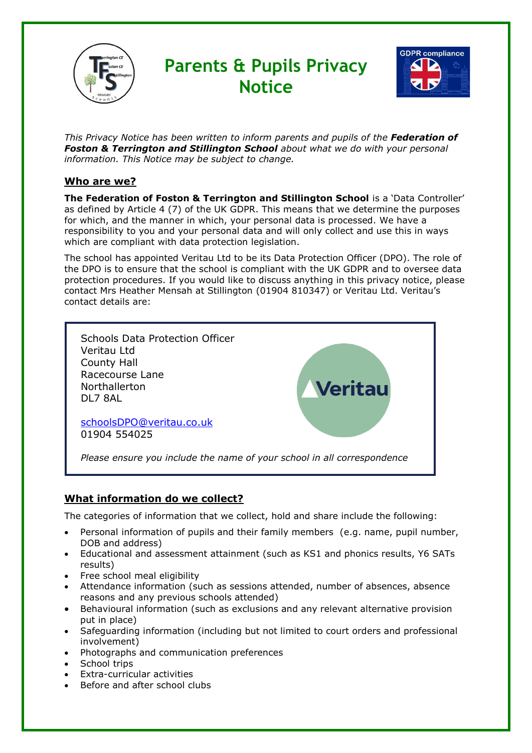

# **Parents & Pupils Privacy Notice**



*This Privacy Notice has been written to inform parents and pupils of the Federation of Foston & Terrington and Stillington School about what we do with your personal information. This Notice may be subject to change.*

# **Who are we?**

**The Federation of Foston & Terrington and Stillington School** is a 'Data Controller' as defined by Article 4 (7) of the UK GDPR. This means that we determine the purposes for which, and the manner in which, your personal data is processed. We have a responsibility to you and your personal data and will only collect and use this in ways which are compliant with data protection legislation.

The school has appointed Veritau Ltd to be its Data Protection Officer (DPO). The role of the DPO is to ensure that the school is compliant with the UK GDPR and to oversee data protection procedures. If you would like to discuss anything in this privacy notice, please contact Mrs Heather Mensah at Stillington (01904 810347) or Veritau Ltd. Veritau's contact details are:



# **What information do we collect?**

The categories of information that we collect, hold and share include the following:

- Personal information of pupils and their family members (e.g. name, pupil number, DOB and address)
- Educational and assessment attainment (such as KS1 and phonics results, Y6 SATs results)
- Free school meal eligibility
- Attendance information (such as sessions attended, number of absences, absence reasons and any previous schools attended)
- Behavioural information (such as exclusions and any relevant alternative provision put in place)
- Safeguarding information (including but not limited to court orders and professional involvement)
- Photographs and communication preferences
- School trips
- Extra-curricular activities
- Before and after school clubs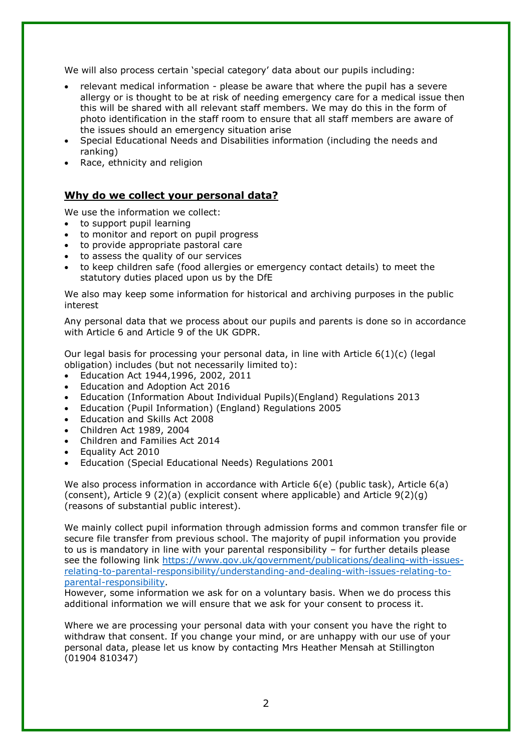We will also process certain 'special category' data about our pupils including:

- relevant medical information please be aware that where the pupil has a severe allergy or is thought to be at risk of needing emergency care for a medical issue then this will be shared with all relevant staff members. We may do this in the form of photo identification in the staff room to ensure that all staff members are aware of the issues should an emergency situation arise
- Special Educational Needs and Disabilities information (including the needs and ranking)
- Race, ethnicity and religion

### **Why do we collect your personal data?**

We use the information we collect:

- to support pupil learning
- to monitor and report on pupil progress
- to provide appropriate pastoral care
- to assess the quality of our services
- to keep children safe (food allergies or emergency contact details) to meet the statutory duties placed upon us by the DfE

We also may keep some information for historical and archiving purposes in the public interest

Any personal data that we process about our pupils and parents is done so in accordance with Article 6 and Article 9 of the UK GDPR.

Our legal basis for processing your personal data, in line with Article 6(1)(c) (legal obligation) includes (but not necessarily limited to):

- Education Act 1944,1996, 2002, 2011
- Education and Adoption Act 2016
- Education (Information About Individual Pupils)(England) Regulations 2013
- Education (Pupil Information) (England) Regulations 2005
- Education and Skills Act 2008
- Children Act 1989, 2004
- Children and Families Act 2014
- Equality Act 2010
- Education (Special Educational Needs) Regulations 2001

We also process information in accordance with Article 6(e) (public task), Article 6(a) (consent), Article 9 (2)(a) (explicit consent where applicable) and Article 9(2)(g) (reasons of substantial public interest).

We mainly collect pupil information through admission forms and common transfer file or secure file transfer from previous school. The majority of pupil information you provide to us is mandatory in line with your parental responsibility – for further details please see the following link [https://www.gov.uk/government/publications/dealing-with-issues](https://www.gov.uk/government/publications/dealing-with-issues-relating-to-parental-responsibility/understanding-and-dealing-with-issues-relating-to-parental-responsibility)[relating-to-parental-responsibility/understanding-and-dealing-with-issues-relating-to](https://www.gov.uk/government/publications/dealing-with-issues-relating-to-parental-responsibility/understanding-and-dealing-with-issues-relating-to-parental-responsibility)[parental-responsibility.](https://www.gov.uk/government/publications/dealing-with-issues-relating-to-parental-responsibility/understanding-and-dealing-with-issues-relating-to-parental-responsibility)

However, some information we ask for on a voluntary basis. When we do process this additional information we will ensure that we ask for your consent to process it.

Where we are processing your personal data with your consent you have the right to withdraw that consent. If you change your mind, or are unhappy with our use of your personal data, please let us know by contacting Mrs Heather Mensah at Stillington (01904 810347)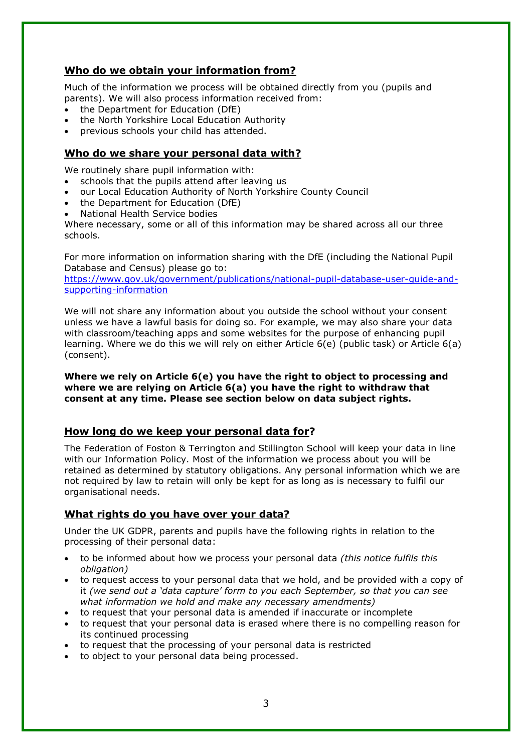### **Who do we obtain your information from?**

Much of the information we process will be obtained directly from you (pupils and parents). We will also process information received from:

- the Department for Education (DfE)
- the North Yorkshire Local Education Authority
- previous schools your child has attended.

#### **Who do we share your personal data with?**

We routinely share pupil information with:

- schools that the pupils attend after leaving us
- our Local Education Authority of North Yorkshire County Council
- the Department for Education (DfE)
- National Health Service bodies

Where necessary, some or all of this information may be shared across all our three schools.

For more information on information sharing with the DfE (including the National Pupil Database and Census) please go to:

[https://www.gov.uk/government/publications/national-pupil-database-user-guide-and](https://www.gov.uk/government/publications/national-pupil-database-user-guide-and-supporting-information)[supporting-information](https://www.gov.uk/government/publications/national-pupil-database-user-guide-and-supporting-information)

We will not share any information about you outside the school without your consent unless we have a lawful basis for doing so. For example, we may also share your data with classroom/teaching apps and some websites for the purpose of enhancing pupil learning. Where we do this we will rely on either Article 6(e) (public task) or Article 6(a) (consent).

#### **Where we rely on Article 6(e) you have the right to object to processing and where we are relying on Article 6(a) you have the right to withdraw that consent at any time. Please see section below on data subject rights.**

#### **How long do we keep your personal data for?**

The Federation of Foston & Terrington and Stillington School will keep your data in line with our Information Policy. Most of the information we process about you will be retained as determined by statutory obligations. Any personal information which we are not required by law to retain will only be kept for as long as is necessary to fulfil our organisational needs.

# **What rights do you have over your data?**

Under the UK GDPR, parents and pupils have the following rights in relation to the processing of their personal data:

- to be informed about how we process your personal data *(this notice fulfils this obligation)*
- to request access to your personal data that we hold, and be provided with a copy of it *(we send out a 'data capture' form to you each September, so that you can see what information we hold and make any necessary amendments)*
- to request that your personal data is amended if inaccurate or incomplete
- to request that your personal data is erased where there is no compelling reason for its continued processing
- to request that the processing of your personal data is restricted
- to object to your personal data being processed.